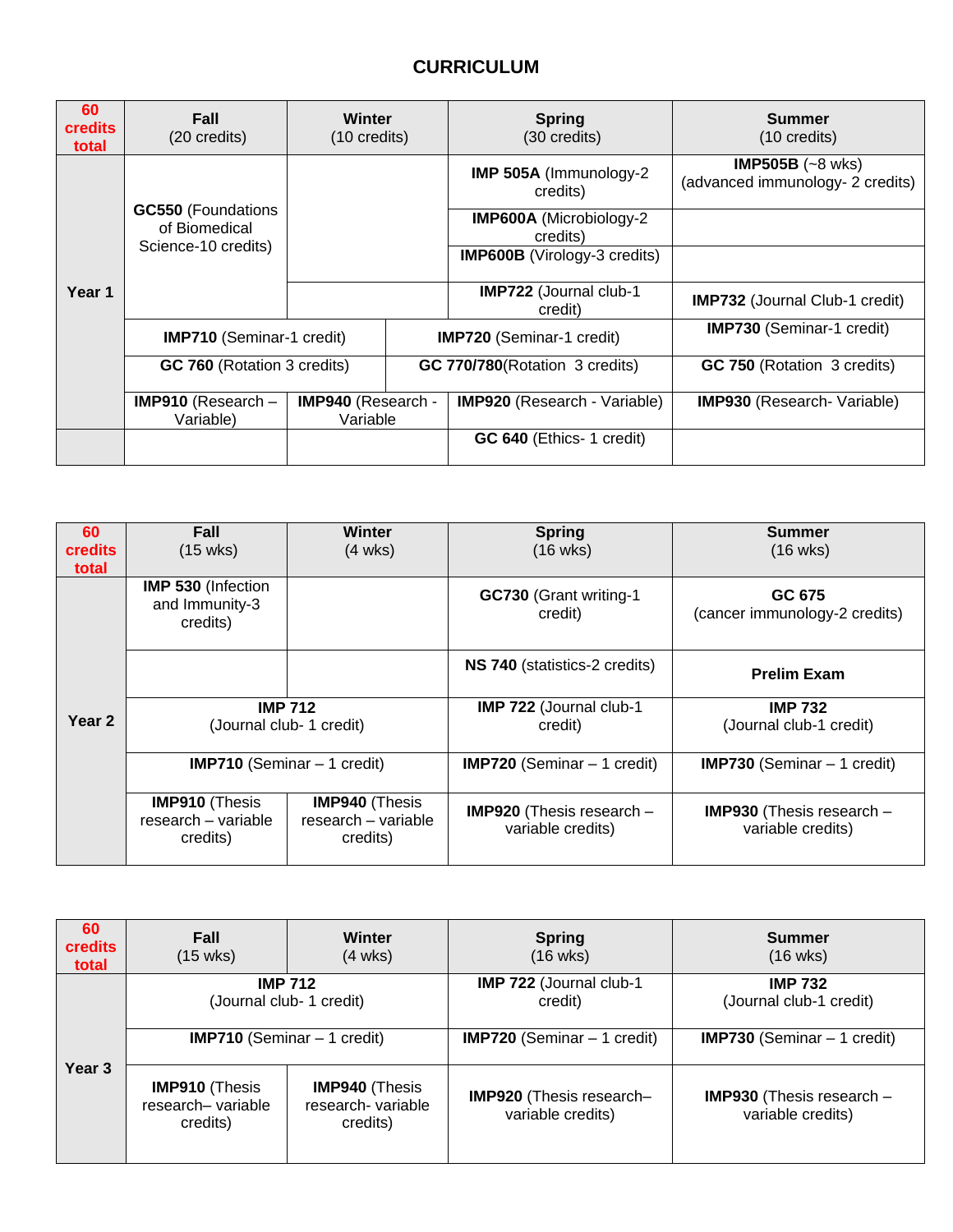# **CURRICULUM**

| 60<br><b>credits</b><br>total | Fall<br>(20 credits)                                              | Winter<br>$(10 \text{ credits})$ |                                        | <b>Spring</b><br>(30 credits)              | <b>Summer</b><br>$(10 \text{ credits})$                        |
|-------------------------------|-------------------------------------------------------------------|----------------------------------|----------------------------------------|--------------------------------------------|----------------------------------------------------------------|
| Year 1                        | <b>GC550</b> (Foundations<br>of Biomedical<br>Science-10 credits) |                                  |                                        | IMP 505A (Immunology-2)<br>credits)        | IMP505B $(-8 \text{ wks})$<br>(advanced immunology- 2 credits) |
|                               |                                                                   |                                  |                                        | <b>IMP600A</b> (Microbiology-2<br>credits) |                                                                |
|                               |                                                                   |                                  |                                        | <b>IMP600B</b> (Virology-3 credits)        |                                                                |
|                               |                                                                   |                                  |                                        | <b>IMP722</b> (Journal club-1<br>credit)   | <b>IMP732</b> (Journal Club-1 credit)                          |
|                               | <b>IMP710</b> (Seminar-1 credit)                                  |                                  | <b>IMP720</b> (Seminar-1 credit)       |                                            | <b>IMP730 (Seminar-1 credit)</b>                               |
|                               | <b>GC 760</b> (Rotation 3 credits)                                |                                  | <b>GC 770/780</b> (Rotation 3 credits) |                                            | <b>GC 750 (Rotation 3 credits)</b>                             |
|                               | <b>IMP910</b> (Research $-$<br>Variable)                          | IMP940 (Research -<br>Variable   |                                        | <b>IMP920</b> (Research - Variable)        | <b>IMP930</b> (Research- Variable)                             |
|                               |                                                                   |                                  |                                        | <b>GC 640</b> (Ethics- 1 credit)           |                                                                |

| 60<br><b>credits</b><br>total | Fall<br>$(15 \text{ wks})$                               | <b>Winter</b><br>$(4 \text{ wks})$                       | <b>Spring</b><br>$(16 \text{ wks})$                     | <b>Summer</b><br>$(16 \text{ wks})$                     |
|-------------------------------|----------------------------------------------------------|----------------------------------------------------------|---------------------------------------------------------|---------------------------------------------------------|
| Year 2                        | <b>IMP 530 (Infection</b><br>and Immunity-3<br>credits)  |                                                          | GC730 (Grant writing-1<br>credit)                       | GC 675<br>(cancer immunology-2 credits)                 |
|                               |                                                          |                                                          | NS 740 (statistics-2 credits)                           | <b>Prelim Exam</b>                                      |
|                               | <b>IMP 712</b><br>(Journal club- 1 credit)               |                                                          | IMP 722 (Journal club-1<br>credit)                      | <b>IMP 732</b><br>(Journal club-1 credit)               |
|                               | <b>IMP710</b> (Seminar $-1$ credit)                      |                                                          | <b>IMP720</b> (Seminar $-1$ credit)                     | <b>IMP730</b> (Seminar $-1$ credit)                     |
|                               | <b>IMP910 (Thesis</b><br>research - variable<br>credits) | <b>IMP940 (Thesis</b><br>research - variable<br>credits) | <b>IMP920</b> (Thesis research $-$<br>variable credits) | <b>IMP930</b> (Thesis research $-$<br>variable credits) |

| 60<br>credits<br>total | Fall<br>$(15 \text{ wks})$                             | Winter<br>$(4 \text{ wks})$                            | <b>Spring</b><br>$(16 \text{ wks})$           | Summer<br>$(16 \text{ wks})$                            |
|------------------------|--------------------------------------------------------|--------------------------------------------------------|-----------------------------------------------|---------------------------------------------------------|
| Year <sub>3</sub>      | <b>IMP 712</b>                                         | (Journal club- 1 credit)                               | IMP 722 (Journal club-1<br>credit)            | <b>IMP 732</b><br>(Journal club-1 credit)               |
|                        | <b>IMP710</b> (Seminar $-1$ credit)                    |                                                        | <b>IMP720</b> (Seminar $-1$ credit)           | <b>IMP730</b> (Seminar $-1$ credit)                     |
|                        | <b>IMP910 (Thesis</b><br>research-variable<br>credits) | <b>IMP940 (Thesis</b><br>research-variable<br>credits) | IMP920 (Thesis research-<br>variable credits) | <b>IMP930</b> (Thesis research $-$<br>variable credits) |